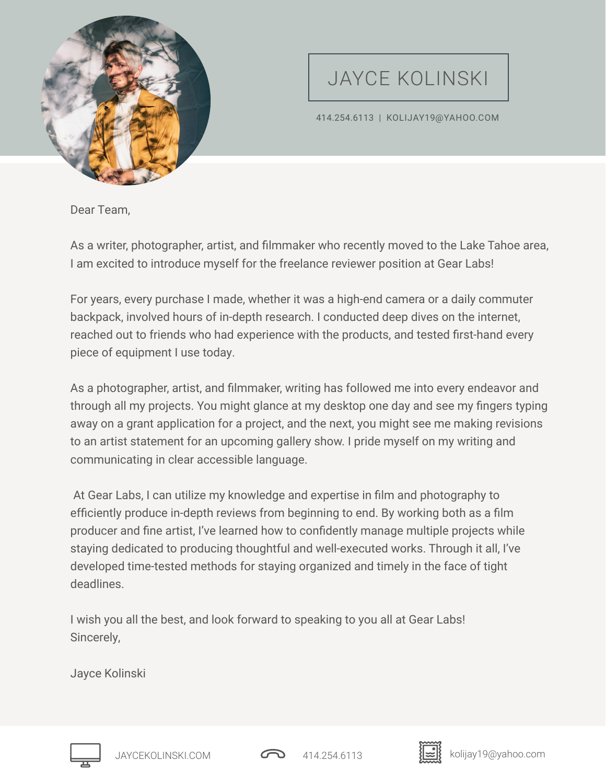

## JAYCE KOLINSKI

414.254.6113 | KOLIJAY19@YAHOO.COM

Dear Team,

As a writer, photographer, artist, and filmmaker who recently moved to the Lake Tahoe area, I am excited to introduce myself for the freelance reviewer position at Gear Labs!

For years, every purchase I made, whether it was a high-end camera or a daily commuter backpack, involved hours of in-depth research. I conducted deep dives on the internet, reached out to friends who had experience with the products, and tested first-hand every piece of equipment I use today.

As a photographer, artist, and filmmaker, writing has followed me into every endeavor and through all my projects. You might glance at my desktop one day and see my fingers typing away on a grant application for a project, and the next, you might see me making revisions to an artist statement for an upcoming gallery show. I pride myself on my writing and communicating in clear accessible language.

 At Gear Labs, I can utilize my knowledge and expertise in film and photography to efficiently produce in-depth reviews from beginning to end. By working both as a film producer and fine artist, I've learned how to confidently manage multiple projects while staying dedicated to producing thoughtful and well-executed works. Through it all, I've developed time-tested methods for staying organized and timely in the face of tight deadlines.

I wish you all the best, and look forward to speaking to you all at Gear Labs! Sincerely,

Jayce Kolinski





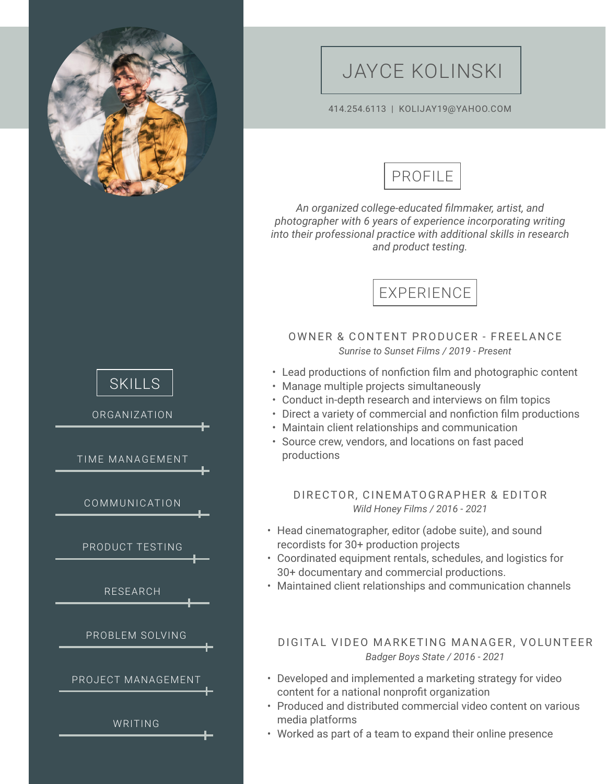

## JAYCE KOLINSKI

#### 414.254.6113 | KOLIJAY19@YAHOO.COM



*An organized college-educated filmmaker, artist, and photographer with 6 years of experience incorporating writing into their professional practice with additional skills in research and product testing.*



### OWNER & CONTENT PRODUCER - FREELANCE *Sunrise to Sunset Films / 2019 - Present*

- Lead productions of nonfiction film and photographic content
- Manage multiple projects simultaneously
- Conduct in-depth research and interviews on film topics
- Direct a variety of commercial and nonfiction film productions
- Maintain client relationships and communication
- Source crew, vendors, and locations on fast paced productions

### DIRECTOR, CINEMATOGRAPHER & EDITOR *Wild Honey Films / 2016 - 2021*

- Head cinematographer, editor (adobe suite), and sound recordists for 30+ production projects
- Coordinated equipment rentals, schedules, and logistics for 30+ documentary and commercial productions.
- Maintained client relationships and communication channels

### DIGITAL VIDEO MARKETING MANAGER, VOLUNTEER *Badger Boys State / 2016 - 2021*

- Developed and implemented a marketing strategy for video content for a national nonprofit organization
- Produced and distributed commercial video content on various media platforms
- Worked as part of a team to expand their online presence